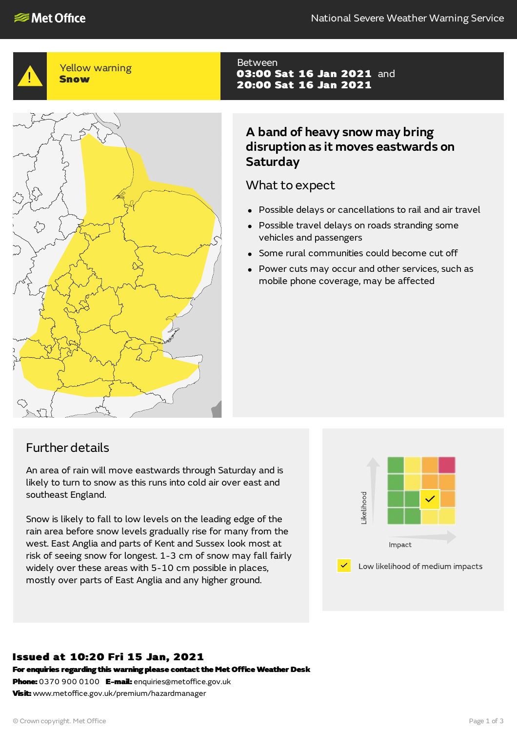

## Yellow warning Snow



#### Between 03:00 Sat 16 Jan 2021 and 20:00 Sat 16 Jan 2021

# **A band of heavy snow may bring disruption as it moves eastwards on Saturday**

## What to expect

- Possible delays or cancellations to rail and air travel
- Possible travel delays on roads stranding some vehicles and passengers
- Some rural communities could become cut off
- Power cuts may occur and other services, such as mobile phone coverage, may be affected

# Further details

An area of rain will move eastwards through Saturday and is likely to turn to snow as this runs into cold air over east and southeast England.

Snow is likely to fall to low levels on the leading edge of the rain area before snow levels gradually rise for many from the west. East Anglia and parts of Kent and Sussex look most at risk of seeing snow for longest. 1-3 cm of snow may fall fairly widely over these areas with 5-10 cm possible in places, mostly over parts of East Anglia and any higher ground.



## Issued at 10:20 Fri 15 Jan, 2021

For enquiries regarding this warning please contact the Met Office Weather Desk

Phone: 0370 900 0100 E-mail: enquiries@metoffice.gov.uk Visit: www.metoffice.gov.uk/premium/hazardmanager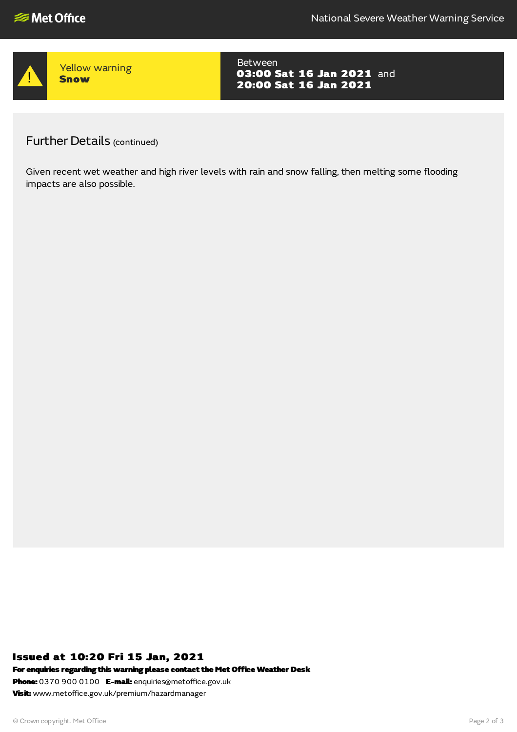

Yellow warning **Snow** 

Between 03:00 Sat 16 Jan 2021 and 20:00 Sat 16 Jan 2021

Further Details (continued)

Given recent wet weather and high river levels with rain and snow falling, then melting some flooding impacts are also possible.

## Issued at 10:20 Fri 15 Jan, 2021

For enquiries regarding this warning please contact the Met Office Weather Desk

Phone: 0370 900 0100 E-mail: enquiries@metoffice.gov.uk **Visit:** www.metoffice.gov.uk/premium/hazardmanager